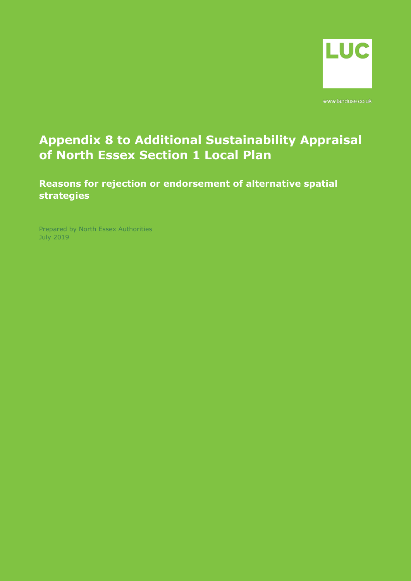

www.landuse.co.uk

## **Appendix 8 to Additional Sustainability Appraisal of North Essex Section 1 Local Plan**

**Reasons for rejection or endorsement of alternative spatial strategies**

Prepared by North Essex Authorities July 2019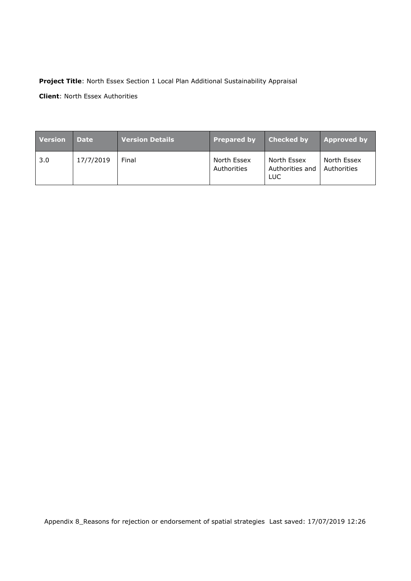## **Project Title**: North Essex Section 1 Local Plan Additional Sustainability Appraisal

**Client**: North Essex Authorities

| <b>Version</b> | <b>Date</b> | <b>Version Details</b> | <b>Prepared by</b>         | <b>Checked by</b>                     | <b>Approved by</b>         |
|----------------|-------------|------------------------|----------------------------|---------------------------------------|----------------------------|
| 3.0            | 17/7/2019   | Final                  | North Essex<br>Authorities | North Essex<br>Authorities and<br>LUC | North Essex<br>Authorities |

Appendix 8\_Reasons for rejection or endorsement of spatial strategies Last saved: 17/07/2019 12:26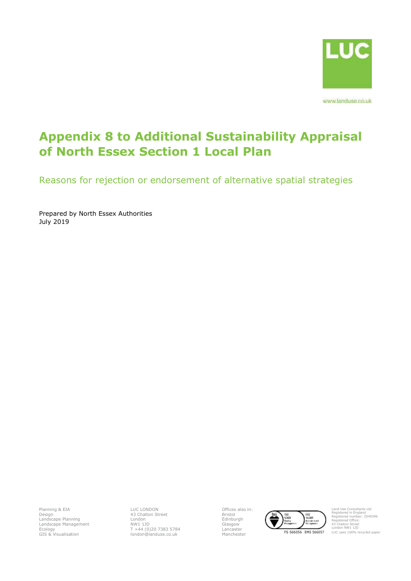

www.landuse.co.uk

## **Appendix 8 to Additional Sustainability Appraisal of North Essex Section 1 Local Plan**

Reasons for rejection or endorsement of alternative spatial strategies

Prepared by North Essex Authorities July 2019

Planning & EIA Design Landscape Planning Landscape Management Ecology GIS & Visualisation

LUC LONDON 43 Chalton Street London NW1 1JD T +44 (0)20 7383 5784 london@landuse.co.uk Offices also in: Bristol Edinburgh Glasgow Lancaster



Land Use Consultants Ltd Registered in England Registered number: 2549296 Registered Office: 43 Chalton Street London NW1 1JD LUC uses 100% recycled paper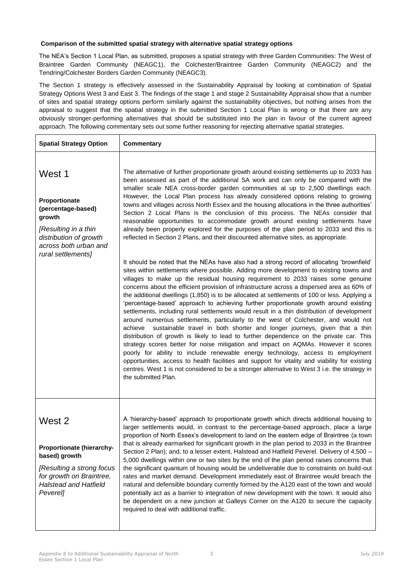## **Comparison of the submitted spatial strategy with alternative spatial strategy options**

The NEA's Section 1 Local Plan, as submitted, proposes a spatial strategy with three Garden Communities: The West of Braintree Garden Community (NEAGC1), the Colchester/Braintree Garden Community (NEAGC2) and the Tendring/Colchester Borders Garden Community (NEAGC3).

The Section 1 strategy is effectively assessed in the Sustainability Appraisal by looking at combination of Spatial Strategy Options West 3 and East 3. The findings of the stage 1 and stage 2 Sustainability Appraisal show that a number of sites and spatial strategy options perform similarly against the sustainability objectives, but nothing arises from the appraisal to suggest that the spatial strategy in the submitted Section 1 Local Plan is wrong or that there are any obviously stronger-performing alternatives that should be substituted into the plan in favour of the current agreed approach. The following commentary sets out some further reasoning for rejecting alternative spatial strategies.

| <b>Spatial Strategy Option</b>                                                                                                                            | <b>Commentary</b>                                                                                                                                                                                                                                                                                                                                                                                                                                                                                                                                                                                                                                                                                                                                                                                                                                                                                                                                                                                                                                                                                                                                                                                                                                                                                                                                                                                                                                                                                                                                                                                                                                                                                                                                                                                                                                                                                                                                                                                                                                                                                                                                               |
|-----------------------------------------------------------------------------------------------------------------------------------------------------------|-----------------------------------------------------------------------------------------------------------------------------------------------------------------------------------------------------------------------------------------------------------------------------------------------------------------------------------------------------------------------------------------------------------------------------------------------------------------------------------------------------------------------------------------------------------------------------------------------------------------------------------------------------------------------------------------------------------------------------------------------------------------------------------------------------------------------------------------------------------------------------------------------------------------------------------------------------------------------------------------------------------------------------------------------------------------------------------------------------------------------------------------------------------------------------------------------------------------------------------------------------------------------------------------------------------------------------------------------------------------------------------------------------------------------------------------------------------------------------------------------------------------------------------------------------------------------------------------------------------------------------------------------------------------------------------------------------------------------------------------------------------------------------------------------------------------------------------------------------------------------------------------------------------------------------------------------------------------------------------------------------------------------------------------------------------------------------------------------------------------------------------------------------------------|
| West 1<br>Proportionate<br>(percentage-based)<br>growth<br>[Resulting in a thin<br>distribution of growth<br>across both urban and<br>rural settlements]  | The alternative of further proportionate growth around existing settlements up to 2033 has<br>been assessed as part of the additional SA work and can only be compared with the<br>smaller scale NEA cross-border garden communities at up to 2,500 dwellings each.<br>However, the Local Plan process has already considered options relating to growing<br>towns and villages across North Essex and the housing allocations in the three authorities'<br>Section 2 Local Plans is the conclusion of this process. The NEAs consider that<br>reasonable opportunities to accommodate growth around existing settlements have<br>already been properly explored for the purposes of the plan period to 2033 and this is<br>reflected in Section 2 Plans, and their discounted alternative sites, as appropriate.<br>It should be noted that the NEAs have also had a strong record of allocating 'brownfield'<br>sites within settlements where possible. Adding more development to existing towns and<br>villages to make up the residual housing requirement to 2033 raises some genuine<br>concerns about the efficient provision of infrastructure across a dispersed area as 60% of<br>the additional dwellings (1,850) is to be allocated at settlements of 100 or less. Applying a<br>'percentage-based' approach to achieving further proportionate growth around existing<br>settlements, including rural settlements would result in a thin distribution of development<br>around numerous settlements, particularly to the west of Colchester, and would not<br>sustainable travel in both shorter and longer journeys, given that a thin<br>achieve<br>distribution of growth is likely to lead to further dependence on the private car. This<br>strategy scores better for noise mitigation and impact on AQMAs. However it scores<br>poorly for ability to include renewable energy technology, access to employment<br>opportunities, access to health facilities and support for vitality and viability for existing<br>centres. West 1 is not considered to be a stronger alternative to West 3 i.e. the strategy in<br>the submitted Plan. |
| West 2<br>Proportionate (hierarchy-<br>based) growth<br>[Resulting a strong focus<br>for growth on Braintree,<br><b>Halstead and Hatfield</b><br>Peverel] | A 'hierarchy-based' approach to proportionate growth which directs additional housing to<br>larger settlements would, in contrast to the percentage-based approach, place a large<br>proportion of North Essex's development to land on the eastern edge of Braintree (a town<br>that is already earmarked for significant growth in the plan period to 2033 in the Braintree<br>Section 2 Plan); and, to a lesser extent, Halstead and Hatfield Peverel. Delivery of 4,500 -<br>5,000 dwellings within one or two sites by the end of the plan period raises concerns that<br>the significant quantum of housing would be undeliverable due to constraints on build-out<br>rates and market demand. Development immediately east of Braintree would breach the<br>natural and defensible boundary currently formed by the A120 east of the town and would<br>potentially act as a barrier to integration of new development with the town. It would also<br>be dependent on a new junction at Galleys Corner on the A120 to secure the capacity<br>required to deal with additional traffic.                                                                                                                                                                                                                                                                                                                                                                                                                                                                                                                                                                                                                                                                                                                                                                                                                                                                                                                                                                                                                                                                   |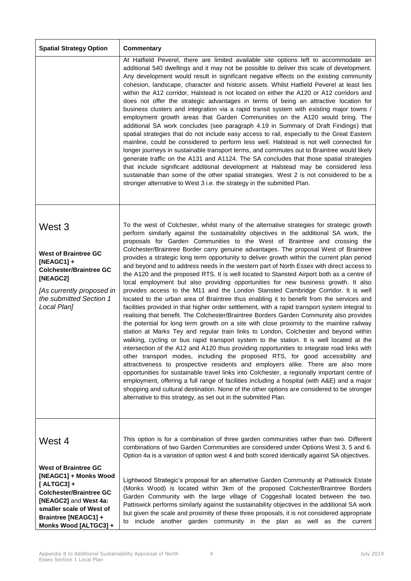| <b>Spatial Strategy Option</b>                                                                                                                                             | <b>Commentary</b>                                                                                                                                                                                                                                                                                                                                                                                                                                                                                                                                                                                                                                                                                                                                                                                                                                                                                                                                                                                                                                                                                                                                                                                                                                                                                                                                                                                                                                                                                                                                                                                                                                                                                                                                                                                                                                                                                                                                                                                                                         |
|----------------------------------------------------------------------------------------------------------------------------------------------------------------------------|-------------------------------------------------------------------------------------------------------------------------------------------------------------------------------------------------------------------------------------------------------------------------------------------------------------------------------------------------------------------------------------------------------------------------------------------------------------------------------------------------------------------------------------------------------------------------------------------------------------------------------------------------------------------------------------------------------------------------------------------------------------------------------------------------------------------------------------------------------------------------------------------------------------------------------------------------------------------------------------------------------------------------------------------------------------------------------------------------------------------------------------------------------------------------------------------------------------------------------------------------------------------------------------------------------------------------------------------------------------------------------------------------------------------------------------------------------------------------------------------------------------------------------------------------------------------------------------------------------------------------------------------------------------------------------------------------------------------------------------------------------------------------------------------------------------------------------------------------------------------------------------------------------------------------------------------------------------------------------------------------------------------------------------------|
|                                                                                                                                                                            | At Hatfield Peverel, there are limited available site options left to accommodate an<br>additional 540 dwellings and it may not be possible to deliver this scale of development.<br>Any development would result in significant negative effects on the existing community<br>cohesion, landscape, character and historic assets. Whilst Hatfield Peverel at least lies<br>within the A12 corridor, Halstead is not located on either the A120 or A12 corridors and<br>does not offer the strategic advantages in terms of being an attractive location for<br>business clusters and integration via a rapid transit system with existing major towns /<br>employment growth areas that Garden Communities on the A120 would bring. The<br>additional SA work concludes (see paragraph 4.19 in Summary of Draft Findings) that<br>spatial strategies that do not include easy access to rail, especially to the Great Eastern<br>mainline, could be considered to perform less well. Halstead is not well connected for<br>longer journeys in sustainable transport terms, and commutes out to Braintree would likely<br>generate traffic on the A131 and A1124. The SA concludes that those spatial strategies<br>that include significant additional development at Halstead may be considered less<br>sustainable than some of the other spatial strategies. West 2 is not considered to be a<br>stronger alternative to West 3 i.e. the strategy in the submitted Plan.                                                                                                                                                                                                                                                                                                                                                                                                                                                                                                                                                              |
| West 3<br><b>West of Braintree GC</b><br>$[NEAGC1] +$<br><b>Colchester/Braintree GC</b><br>[NEAGC2]<br>[As currently proposed in<br>the submitted Section 1<br>Local Plan] | To the west of Colchester, whilst many of the alternative strategies for strategic growth<br>perform similarly against the sustainability objectives in the additional SA work, the<br>proposals for Garden Communities to the West of Braintree and crossing the<br>Colchester/Braintree Border carry genuine advantages. The proposal West of Braintree<br>provides a strategic long term opportunity to deliver growth within the current plan period<br>and beyond and to address needs in the western part of North Essex with direct access to<br>the A120 and the proposed RTS. It is well located to Stansted Airport both as a centre of<br>local employment but also providing opportunities for new business growth. It also<br>provides access to the M11 and the London Stansted Cambridge Corridor. It is well<br>located to the urban area of Braintree thus enabling it to benefit from the services and<br>facilities provided in that higher order settlement, with a rapid transport system integral to<br>realising that benefit. The Colchester/Braintree Borders Garden Community also provides<br>the potential for long term growth on a site with close proximity to the mainline railway<br>station at Marks Tey and regular train links to London, Colchester and beyond within<br>walking, cycling or bus rapid transport system to the station. It is well located at the<br>intersection of the A12 and A120 thus providing opportunities to integrate road links with<br>other transport modes, including the proposed RTS, for good accessibility and<br>attractiveness to prospective residents and employers alike. There are also more<br>opportunities for sustainable travel links into Colchester, a regionally important centre of<br>employment, offering a full range of facilities including a hospital (with A&E) and a major<br>shopping and cultural destination. None of the other options are considered to be stronger<br>alternative to this strategy, as set out in the submitted Plan. |
| West 4<br><b>West of Braintree GC</b><br>[NEAGC1] + Monks Wood<br>$[ALTGC3]+$<br><b>Colchester/Braintree GC</b><br>[NEAGC2] and West 4a:<br>smaller scale of West of       | This option is for a combination of three garden communities rather than two. Different<br>combinations of two Garden Communities are considered under Options West 3, 5 and 6.<br>Option 4a is a variation of option west 4 and both scored identically against SA objectives.<br>Lightwood Strategic's proposal for an alternative Garden Community at Pattiswick Estate<br>(Monks Wood) is located within 3km of the proposed Colchester/Braintree Borders<br>Garden Community with the large village of Coggeshall located between the two.<br>Pattiswick performs similarly against the sustainability objectives in the additional SA work<br>but given the scale and proximity of these three proposals, it is not considered appropriate                                                                                                                                                                                                                                                                                                                                                                                                                                                                                                                                                                                                                                                                                                                                                                                                                                                                                                                                                                                                                                                                                                                                                                                                                                                                                          |
| Braintree [NEAGC1] +<br>Monks Wood [ALTGC3] +                                                                                                                              | to include another garden community in the plan as well as the current                                                                                                                                                                                                                                                                                                                                                                                                                                                                                                                                                                                                                                                                                                                                                                                                                                                                                                                                                                                                                                                                                                                                                                                                                                                                                                                                                                                                                                                                                                                                                                                                                                                                                                                                                                                                                                                                                                                                                                    |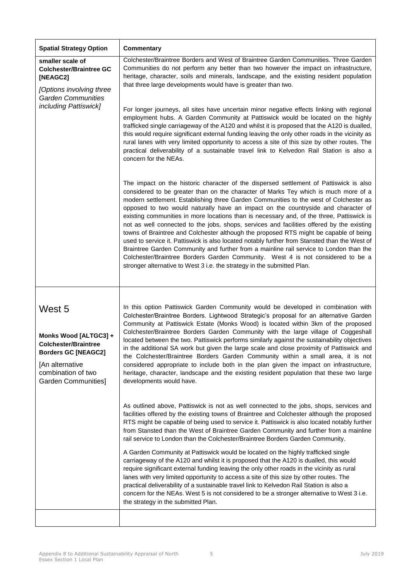| <b>Spatial Strategy Option</b>                                                                                                                               | <b>Commentary</b>                                                                                                                                                                                                                                                                                                                                                                                                                                                                                                                                                                                                                                                                                                                                                                                                                                                                                                                                                                                       |
|--------------------------------------------------------------------------------------------------------------------------------------------------------------|---------------------------------------------------------------------------------------------------------------------------------------------------------------------------------------------------------------------------------------------------------------------------------------------------------------------------------------------------------------------------------------------------------------------------------------------------------------------------------------------------------------------------------------------------------------------------------------------------------------------------------------------------------------------------------------------------------------------------------------------------------------------------------------------------------------------------------------------------------------------------------------------------------------------------------------------------------------------------------------------------------|
| smaller scale of<br><b>Colchester/Braintree GC</b><br>[NEAGC2]<br>[Options involving three<br><b>Garden Communities</b><br><i>including Pattiswick]</i>      | Colchester/Braintree Borders and West of Braintree Garden Communities. Three Garden<br>Communities do not perform any better than two however the impact on infrastructure,<br>heritage, character, soils and minerals, landscape, and the existing resident population<br>that three large developments would have is greater than two.<br>For longer journeys, all sites have uncertain minor negative effects linking with regional                                                                                                                                                                                                                                                                                                                                                                                                                                                                                                                                                                  |
|                                                                                                                                                              | employment hubs. A Garden Community at Pattiswick would be located on the highly<br>trafficked single carriageway of the A120 and whilst it is proposed that the A120 is dualled,<br>this would require significant external funding leaving the only other roads in the vicinity as<br>rural lanes with very limited opportunity to access a site of this size by other routes. The<br>practical deliverability of a sustainable travel link to Kelvedon Rail Station is also a<br>concern for the NEAs.                                                                                                                                                                                                                                                                                                                                                                                                                                                                                               |
|                                                                                                                                                              | The impact on the historic character of the dispersed settlement of Pattiswick is also<br>considered to be greater than on the character of Marks Tey which is much more of a<br>modern settlement. Establishing three Garden Communities to the west of Colchester as<br>opposed to two would naturally have an impact on the countryside and character of<br>existing communities in more locations than is necessary and, of the three, Pattiswick is<br>not as well connected to the jobs, shops, services and facilities offered by the existing<br>towns of Braintree and Colchester although the proposed RTS might be capable of being<br>used to service it. Pattiswick is also located notably further from Stansted than the West of<br>Braintree Garden Community and further from a mainline rail service to London than the<br>Colchester/Braintree Borders Garden Community. West 4 is not considered to be a<br>stronger alternative to West 3 i.e. the strategy in the submitted Plan. |
| West 5<br>Monks Wood [ALTGC3] +<br><b>Colchester/Braintree</b><br><b>Borders GC [NEAGC2]</b><br>[An alternative<br>combination of two<br>Garden Communities] | In this option Pattiswick Garden Community would be developed in combination with<br>Colchester/Braintree Borders. Lightwood Strategic's proposal for an alternative Garden<br>Community at Pattiswick Estate (Monks Wood) is located within 3km of the proposed<br>Colchester/Braintree Borders Garden Community with the large village of Coggeshall<br>located between the two. Pattiswick performs similarly against the sustainability objectives<br>in the additional SA work but given the large scale and close proximity of Pattiswick and<br>the Colchester/Braintree Borders Garden Community within a small area, it is not<br>considered appropriate to include both in the plan given the impact on infrastructure,<br>heritage, character, landscape and the existing resident population that these two large<br>developments would have.                                                                                                                                               |
|                                                                                                                                                              | As outlined above, Pattiswick is not as well connected to the jobs, shops, services and<br>facilities offered by the existing towns of Braintree and Colchester although the proposed<br>RTS might be capable of being used to service it. Pattiswick is also located notably further<br>from Stansted than the West of Braintree Garden Community and further from a mainline<br>rail service to London than the Colchester/Braintree Borders Garden Community.                                                                                                                                                                                                                                                                                                                                                                                                                                                                                                                                        |
|                                                                                                                                                              | A Garden Community at Pattiswick would be located on the highly trafficked single<br>carriageway of the A120 and whilst it is proposed that the A120 is dualled, this would<br>require significant external funding leaving the only other roads in the vicinity as rural<br>lanes with very limited opportunity to access a site of this size by other routes. The<br>practical deliverability of a sustainable travel link to Kelvedon Rail Station is also a<br>concern for the NEAs. West 5 is not considered to be a stronger alternative to West 3 i.e.<br>the strategy in the submitted Plan.                                                                                                                                                                                                                                                                                                                                                                                                    |
|                                                                                                                                                              |                                                                                                                                                                                                                                                                                                                                                                                                                                                                                                                                                                                                                                                                                                                                                                                                                                                                                                                                                                                                         |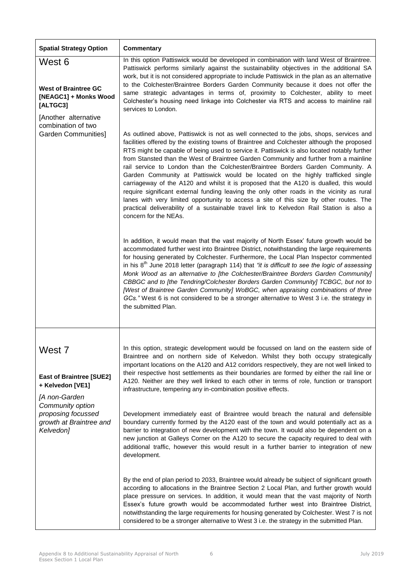| <b>Spatial Strategy Option</b>                                                                                                                                   | <b>Commentary</b>                                                                                                                                                                                                                                                                                                                                                                                                                                                                                                                                                                                                                                                                                                                                                                                                                                                                                                                                                                                                        |
|------------------------------------------------------------------------------------------------------------------------------------------------------------------|--------------------------------------------------------------------------------------------------------------------------------------------------------------------------------------------------------------------------------------------------------------------------------------------------------------------------------------------------------------------------------------------------------------------------------------------------------------------------------------------------------------------------------------------------------------------------------------------------------------------------------------------------------------------------------------------------------------------------------------------------------------------------------------------------------------------------------------------------------------------------------------------------------------------------------------------------------------------------------------------------------------------------|
| West 6<br><b>West of Braintree GC</b><br>[NEAGC1] + Monks Wood                                                                                                   | In this option Pattiswick would be developed in combination with land West of Braintree.<br>Pattiswick performs similarly against the sustainability objectives in the additional SA<br>work, but it is not considered appropriate to include Pattiswick in the plan as an alternative<br>to the Colchester/Braintree Borders Garden Community because it does not offer the<br>same strategic advantages in terms of, proximity to Colchester, ability to meet<br>Colchester's housing need linkage into Colchester via RTS and access to mainline rail                                                                                                                                                                                                                                                                                                                                                                                                                                                                 |
| [ALTGC3]<br>[Another alternative<br>combination of two<br>Garden Communities]                                                                                    | services to London.<br>As outlined above, Pattiswick is not as well connected to the jobs, shops, services and<br>facilities offered by the existing towns of Braintree and Colchester although the proposed<br>RTS might be capable of being used to service it. Pattiswick is also located notably further<br>from Stansted than the West of Braintree Garden Community and further from a mainline<br>rail service to London than the Colchester/Braintree Borders Garden Community. A<br>Garden Community at Pattiswick would be located on the highly trafficked single<br>carriageway of the A120 and whilst it is proposed that the A120 is dualled, this would<br>require significant external funding leaving the only other roads in the vicinity as rural<br>lanes with very limited opportunity to access a site of this size by other routes. The<br>practical deliverability of a sustainable travel link to Kelvedon Rail Station is also a<br>concern for the NEAs.                                      |
|                                                                                                                                                                  | In addition, it would mean that the vast majority of North Essex' future growth would be<br>accommodated further west into Braintree District, notwithstanding the large requirements<br>for housing generated by Colchester. Furthermore, the Local Plan Inspector commented<br>in his 8 <sup>th</sup> June 2018 letter (paragraph 114) that "it is difficult to see the logic of assessing<br>Monk Wood as an alternative to [the Colchester/Braintree Borders Garden Community]<br>CBBGC and to [the Tendring/Colchester Borders Garden Community] TCBGC, but not to<br>[West of Braintree Garden Community] WoBGC, when appraising combinations of three<br>GCs." West 6 is not considered to be a stronger alternative to West 3 i.e. the strategy in<br>the submitted Plan.                                                                                                                                                                                                                                        |
| West 7<br><b>East of Braintree [SUE2]</b><br>+ Kelvedon [VE1]<br>[A non-Garden<br>Community option<br>proposing focussed<br>growth at Braintree and<br>Kelvedon] | In this option, strategic development would be focussed on land on the eastern side of<br>Braintree and on northern side of Kelvedon. Whilst they both occupy strategically<br>important locations on the A120 and A12 corridors respectively, they are not well linked to<br>their respective host settlements as their boundaries are formed by either the rail line or<br>A120. Neither are they well linked to each other in terms of role, function or transport<br>infrastructure, tempering any in-combination positive effects.<br>Development immediately east of Braintree would breach the natural and defensible<br>boundary currently formed by the A120 east of the town and would potentially act as a<br>barrier to integration of new development with the town. It would also be dependent on a<br>new junction at Galleys Corner on the A120 to secure the capacity required to deal with<br>additional traffic, however this would result in a further barrier to integration of new<br>development. |
|                                                                                                                                                                  | By the end of plan period to 2033, Braintree would already be subject of significant growth<br>according to allocations in the Braintree Section 2 Local Plan, and further growth would<br>place pressure on services. In addition, it would mean that the vast majority of North<br>Essex's future growth would be accommodated further west into Braintree District,<br>notwithstanding the large requirements for housing generated by Colchester. West 7 is not<br>considered to be a stronger alternative to West 3 i.e. the strategy in the submitted Plan.                                                                                                                                                                                                                                                                                                                                                                                                                                                        |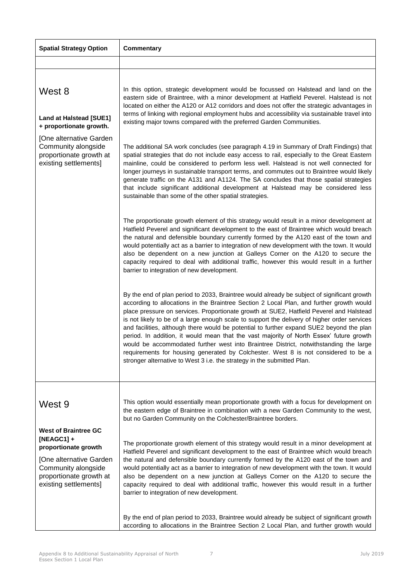| <b>Spatial Strategy Option</b>                                                                                                                                            | <b>Commentary</b>                                                                                                                                                                                                                                                                                                                                                                                                                                                                                                                                                                                                                                                                                                                                                                                                                   |
|---------------------------------------------------------------------------------------------------------------------------------------------------------------------------|-------------------------------------------------------------------------------------------------------------------------------------------------------------------------------------------------------------------------------------------------------------------------------------------------------------------------------------------------------------------------------------------------------------------------------------------------------------------------------------------------------------------------------------------------------------------------------------------------------------------------------------------------------------------------------------------------------------------------------------------------------------------------------------------------------------------------------------|
|                                                                                                                                                                           |                                                                                                                                                                                                                                                                                                                                                                                                                                                                                                                                                                                                                                                                                                                                                                                                                                     |
| West 8                                                                                                                                                                    | In this option, strategic development would be focussed on Halstead and land on the<br>eastern side of Braintree, with a minor development at Hatfield Peverel. Halstead is not                                                                                                                                                                                                                                                                                                                                                                                                                                                                                                                                                                                                                                                     |
| <b>Land at Halstead [SUE1]</b><br>+ proportionate growth.                                                                                                                 | located on either the A120 or A12 corridors and does not offer the strategic advantages in<br>terms of linking with regional employment hubs and accessibility via sustainable travel into<br>existing major towns compared with the preferred Garden Communities.                                                                                                                                                                                                                                                                                                                                                                                                                                                                                                                                                                  |
| [One alternative Garden<br>Community alongside<br>proportionate growth at<br>existing settlements]                                                                        | The additional SA work concludes (see paragraph 4.19 in Summary of Draft Findings) that<br>spatial strategies that do not include easy access to rail, especially to the Great Eastern<br>mainline, could be considered to perform less well. Halstead is not well connected for<br>longer journeys in sustainable transport terms, and commutes out to Braintree would likely<br>generate traffic on the A131 and A1124. The SA concludes that those spatial strategies<br>that include significant additional development at Halstead may be considered less<br>sustainable than some of the other spatial strategies.                                                                                                                                                                                                            |
|                                                                                                                                                                           | The proportionate growth element of this strategy would result in a minor development at<br>Hatfield Peverel and significant development to the east of Braintree which would breach<br>the natural and defensible boundary currently formed by the A120 east of the town and<br>would potentially act as a barrier to integration of new development with the town. It would<br>also be dependent on a new junction at Galleys Corner on the A120 to secure the<br>capacity required to deal with additional traffic, however this would result in a further<br>barrier to integration of new development.                                                                                                                                                                                                                         |
|                                                                                                                                                                           | By the end of plan period to 2033, Braintree would already be subject of significant growth<br>according to allocations in the Braintree Section 2 Local Plan, and further growth would<br>place pressure on services. Proportionate growth at SUE2, Hatfield Peverel and Halstead<br>is not likely to be of a large enough scale to support the delivery of higher order services<br>and facilities, although there would be potential to further expand SUE2 beyond the plan<br>period. In addition, it would mean that the vast majority of North Essex' future growth<br>would be accommodated further west into Braintree District, notwithstanding the large<br>requirements for housing generated by Colchester. West 8 is not considered to be a<br>stronger alternative to West 3 i.e. the strategy in the submitted Plan. |
| West 9                                                                                                                                                                    | This option would essentially mean proportionate growth with a focus for development on<br>the eastern edge of Braintree in combination with a new Garden Community to the west,<br>but no Garden Community on the Colchester/Braintree borders.                                                                                                                                                                                                                                                                                                                                                                                                                                                                                                                                                                                    |
| <b>West of Braintree GC</b><br>$[NEAGC1] +$<br>proportionate growth<br>[One alternative Garden<br>Community alongside<br>proportionate growth at<br>existing settlements] | The proportionate growth element of this strategy would result in a minor development at<br>Hatfield Peverel and significant development to the east of Braintree which would breach<br>the natural and defensible boundary currently formed by the A120 east of the town and<br>would potentially act as a barrier to integration of new development with the town. It would<br>also be dependent on a new junction at Galleys Corner on the A120 to secure the<br>capacity required to deal with additional traffic, however this would result in a further<br>barrier to integration of new development.                                                                                                                                                                                                                         |
|                                                                                                                                                                           | By the end of plan period to 2033, Braintree would already be subject of significant growth<br>according to allocations in the Braintree Section 2 Local Plan, and further growth would                                                                                                                                                                                                                                                                                                                                                                                                                                                                                                                                                                                                                                             |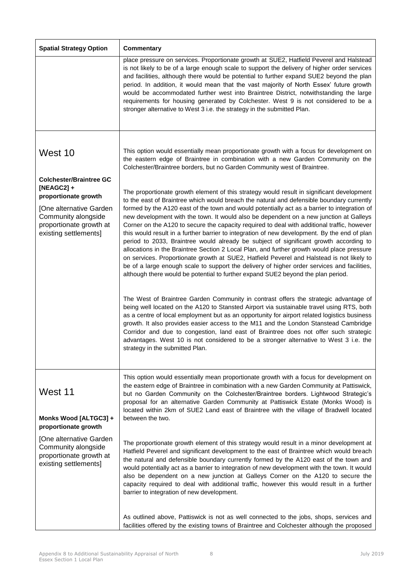| <b>Spatial Strategy Option</b>                                                                                                                                               | <b>Commentary</b>                                                                                                                                                                                                                                                                                                                                                                                                                                                                                                                                                                                                                                                                                                                                                                                                                                                                                                                                                                                                                                                                                                                                                                                                                                                                                                                                                                                                                                                                                                                                                                                                                                       |
|------------------------------------------------------------------------------------------------------------------------------------------------------------------------------|---------------------------------------------------------------------------------------------------------------------------------------------------------------------------------------------------------------------------------------------------------------------------------------------------------------------------------------------------------------------------------------------------------------------------------------------------------------------------------------------------------------------------------------------------------------------------------------------------------------------------------------------------------------------------------------------------------------------------------------------------------------------------------------------------------------------------------------------------------------------------------------------------------------------------------------------------------------------------------------------------------------------------------------------------------------------------------------------------------------------------------------------------------------------------------------------------------------------------------------------------------------------------------------------------------------------------------------------------------------------------------------------------------------------------------------------------------------------------------------------------------------------------------------------------------------------------------------------------------------------------------------------------------|
|                                                                                                                                                                              | place pressure on services. Proportionate growth at SUE2, Hatfield Peverel and Halstead<br>is not likely to be of a large enough scale to support the delivery of higher order services<br>and facilities, although there would be potential to further expand SUE2 beyond the plan<br>period. In addition, it would mean that the vast majority of North Essex' future growth<br>would be accommodated further west into Braintree District, notwithstanding the large<br>requirements for housing generated by Colchester. West 9 is not considered to be a<br>stronger alternative to West 3 i.e. the strategy in the submitted Plan.                                                                                                                                                                                                                                                                                                                                                                                                                                                                                                                                                                                                                                                                                                                                                                                                                                                                                                                                                                                                                |
| West 10                                                                                                                                                                      | This option would essentially mean proportionate growth with a focus for development on<br>the eastern edge of Braintree in combination with a new Garden Community on the<br>Colchester/Braintree borders, but no Garden Community west of Braintree.                                                                                                                                                                                                                                                                                                                                                                                                                                                                                                                                                                                                                                                                                                                                                                                                                                                                                                                                                                                                                                                                                                                                                                                                                                                                                                                                                                                                  |
| <b>Colchester/Braintree GC</b><br>$[NEAGC2] +$<br>proportionate growth<br>[One alternative Garden<br>Community alongside<br>proportionate growth at<br>existing settlements] | The proportionate growth element of this strategy would result in significant development<br>to the east of Braintree which would breach the natural and defensible boundary currently<br>formed by the A120 east of the town and would potentially act as a barrier to integration of<br>new development with the town. It would also be dependent on a new junction at Galleys<br>Corner on the A120 to secure the capacity required to deal with additional traffic, however<br>this would result in a further barrier to integration of new development. By the end of plan<br>period to 2033, Braintree would already be subject of significant growth according to<br>allocations in the Braintree Section 2 Local Plan, and further growth would place pressure<br>on services. Proportionate growth at SUE2, Hatfield Peverel and Halstead is not likely to<br>be of a large enough scale to support the delivery of higher order services and facilities,<br>although there would be potential to further expand SUE2 beyond the plan period.<br>The West of Braintree Garden Community in contrast offers the strategic advantage of<br>being well located on the A120 to Stansted Airport via sustainable travel using RTS, both<br>as a centre of local employment but as an opportunity for airport related logistics business<br>growth. It also provides easier access to the M11 and the London Stanstead Cambridge<br>Corridor and due to congestion, land east of Braintree does not offer such strategic<br>advantages. West 10 is not considered to be a stronger alternative to West 3 i.e. the<br>strategy in the submitted Plan. |
| West 11<br>Monks Wood [ALTGC3] +<br>proportionate growth                                                                                                                     | This option would essentially mean proportionate growth with a focus for development on<br>the eastern edge of Braintree in combination with a new Garden Community at Pattiswick,<br>but no Garden Community on the Colchester/Braintree borders. Lightwood Strategic's<br>proposal for an alternative Garden Community at Pattiswick Estate (Monks Wood) is<br>located within 2km of SUE2 Land east of Braintree with the village of Bradwell located<br>between the two.                                                                                                                                                                                                                                                                                                                                                                                                                                                                                                                                                                                                                                                                                                                                                                                                                                                                                                                                                                                                                                                                                                                                                                             |
| [One alternative Garden<br>Community alongside<br>proportionate growth at<br>existing settlements]                                                                           | The proportionate growth element of this strategy would result in a minor development at<br>Hatfield Peverel and significant development to the east of Braintree which would breach<br>the natural and defensible boundary currently formed by the A120 east of the town and<br>would potentially act as a barrier to integration of new development with the town. It would<br>also be dependent on a new junction at Galleys Corner on the A120 to secure the<br>capacity required to deal with additional traffic, however this would result in a further<br>barrier to integration of new development.                                                                                                                                                                                                                                                                                                                                                                                                                                                                                                                                                                                                                                                                                                                                                                                                                                                                                                                                                                                                                                             |
|                                                                                                                                                                              | As outlined above, Pattiswick is not as well connected to the jobs, shops, services and<br>facilities offered by the existing towns of Braintree and Colchester although the proposed                                                                                                                                                                                                                                                                                                                                                                                                                                                                                                                                                                                                                                                                                                                                                                                                                                                                                                                                                                                                                                                                                                                                                                                                                                                                                                                                                                                                                                                                   |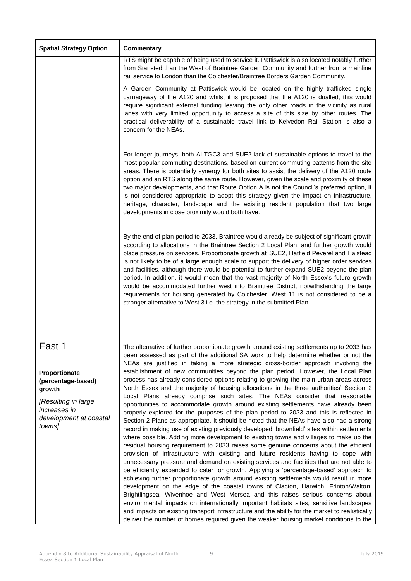| <b>Spatial Strategy Option</b>                                                                                                     | <b>Commentary</b>                                                                                                                                                                                                                                                                                                                                                                                                                                                                                                                                                                                                                                                                                                                                                                                                                                                                                                                                                                                                                                                                                                                                                                                                                                                                                                                                                                                                                                                                                                                                                                                                                                                                                                                                                                                                                                                                                                                                                                                                                |
|------------------------------------------------------------------------------------------------------------------------------------|----------------------------------------------------------------------------------------------------------------------------------------------------------------------------------------------------------------------------------------------------------------------------------------------------------------------------------------------------------------------------------------------------------------------------------------------------------------------------------------------------------------------------------------------------------------------------------------------------------------------------------------------------------------------------------------------------------------------------------------------------------------------------------------------------------------------------------------------------------------------------------------------------------------------------------------------------------------------------------------------------------------------------------------------------------------------------------------------------------------------------------------------------------------------------------------------------------------------------------------------------------------------------------------------------------------------------------------------------------------------------------------------------------------------------------------------------------------------------------------------------------------------------------------------------------------------------------------------------------------------------------------------------------------------------------------------------------------------------------------------------------------------------------------------------------------------------------------------------------------------------------------------------------------------------------------------------------------------------------------------------------------------------------|
|                                                                                                                                    | RTS might be capable of being used to service it. Pattiswick is also located notably further<br>from Stansted than the West of Braintree Garden Community and further from a mainline<br>rail service to London than the Colchester/Braintree Borders Garden Community.                                                                                                                                                                                                                                                                                                                                                                                                                                                                                                                                                                                                                                                                                                                                                                                                                                                                                                                                                                                                                                                                                                                                                                                                                                                                                                                                                                                                                                                                                                                                                                                                                                                                                                                                                          |
|                                                                                                                                    | A Garden Community at Pattiswick would be located on the highly trafficked single<br>carriageway of the A120 and whilst it is proposed that the A120 is dualled, this would<br>require significant external funding leaving the only other roads in the vicinity as rural<br>lanes with very limited opportunity to access a site of this size by other routes. The<br>practical deliverability of a sustainable travel link to Kelvedon Rail Station is also a<br>concern for the NEAs.                                                                                                                                                                                                                                                                                                                                                                                                                                                                                                                                                                                                                                                                                                                                                                                                                                                                                                                                                                                                                                                                                                                                                                                                                                                                                                                                                                                                                                                                                                                                         |
|                                                                                                                                    | For longer journeys, both ALTGC3 and SUE2 lack of sustainable options to travel to the<br>most popular commuting destinations, based on current commuting patterns from the site<br>areas. There is potentially synergy for both sites to assist the delivery of the A120 route<br>option and an RTS along the same route. However, given the scale and proximity of these<br>two major developments, and that Route Option A is not the Council's preferred option, it<br>is not considered appropriate to adopt this strategy given the impact on infrastructure,<br>heritage, character, landscape and the existing resident population that two large<br>developments in close proximity would both have.                                                                                                                                                                                                                                                                                                                                                                                                                                                                                                                                                                                                                                                                                                                                                                                                                                                                                                                                                                                                                                                                                                                                                                                                                                                                                                                    |
|                                                                                                                                    | By the end of plan period to 2033, Braintree would already be subject of significant growth<br>according to allocations in the Braintree Section 2 Local Plan, and further growth would<br>place pressure on services. Proportionate growth at SUE2, Hatfield Peverel and Halstead<br>is not likely to be of a large enough scale to support the delivery of higher order services<br>and facilities, although there would be potential to further expand SUE2 beyond the plan<br>period. In addition, it would mean that the vast majority of North Essex's future growth<br>would be accommodated further west into Braintree District, notwithstanding the large<br>requirements for housing generated by Colchester. West 11 is not considered to be a<br>stronger alternative to West 3 i.e. the strategy in the submitted Plan.                                                                                                                                                                                                                                                                                                                                                                                                                                                                                                                                                                                                                                                                                                                                                                                                                                                                                                                                                                                                                                                                                                                                                                                            |
|                                                                                                                                    |                                                                                                                                                                                                                                                                                                                                                                                                                                                                                                                                                                                                                                                                                                                                                                                                                                                                                                                                                                                                                                                                                                                                                                                                                                                                                                                                                                                                                                                                                                                                                                                                                                                                                                                                                                                                                                                                                                                                                                                                                                  |
| East 1<br>Proportionate<br>(percentage-based)<br>growth<br>[Resulting in large<br>increases in<br>development at coastal<br>towns] | The alternative of further proportionate growth around existing settlements up to 2033 has<br>been assessed as part of the additional SA work to help determine whether or not the<br>NEAs are justified in taking a more strategic cross-border approach involving the<br>establishment of new communities beyond the plan period. However, the Local Plan<br>process has already considered options relating to growing the main urban areas across<br>North Essex and the majority of housing allocations in the three authorities' Section 2<br>Local Plans already comprise such sites. The NEAs consider that reasonable<br>opportunities to accommodate growth around existing settlements have already been<br>properly explored for the purposes of the plan period to 2033 and this is reflected in<br>Section 2 Plans as appropriate. It should be noted that the NEAs have also had a strong<br>record in making use of existing previously developed 'brownfield' sites within settlements<br>where possible. Adding more development to existing towns and villages to make up the<br>residual housing requirement to 2033 raises some genuine concerns about the efficient<br>provision of infrastructure with existing and future residents having to cope with<br>unnecessary pressure and demand on existing services and facilities that are not able to<br>be efficiently expanded to cater for growth. Applying a 'percentage-based' approach to<br>achieving further proportionate growth around existing settlements would result in more<br>development on the edge of the coastal towns of Clacton, Harwich, Frinton/Walton,<br>Brightlingsea, Wivenhoe and West Mersea and this raises serious concerns about<br>environmental impacts on internationally important habitats sites, sensitive landscapes<br>and impacts on existing transport infrastructure and the ability for the market to realistically<br>deliver the number of homes required given the weaker housing market conditions to the |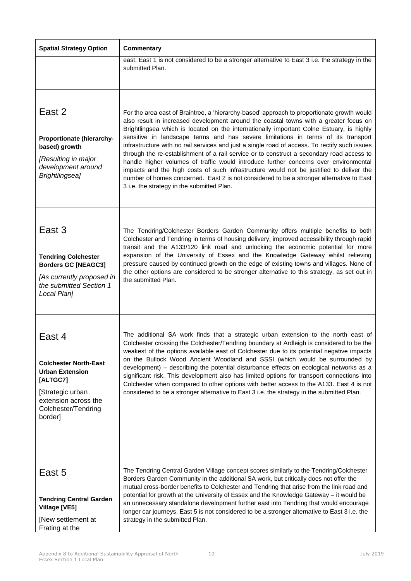| <b>Spatial Strategy Option</b>                                                                                                                             | <b>Commentary</b>                                                                                                                                                                                                                                                                                                                                                                                                                                                                                                                                                                                                                                                                                                                                                                                                                                                                               |
|------------------------------------------------------------------------------------------------------------------------------------------------------------|-------------------------------------------------------------------------------------------------------------------------------------------------------------------------------------------------------------------------------------------------------------------------------------------------------------------------------------------------------------------------------------------------------------------------------------------------------------------------------------------------------------------------------------------------------------------------------------------------------------------------------------------------------------------------------------------------------------------------------------------------------------------------------------------------------------------------------------------------------------------------------------------------|
|                                                                                                                                                            | east. East 1 is not considered to be a stronger alternative to East 3 i.e. the strategy in the<br>submitted Plan.                                                                                                                                                                                                                                                                                                                                                                                                                                                                                                                                                                                                                                                                                                                                                                               |
| East 2<br>Proportionate (hierarchy-<br>based) growth<br>[Resulting in major<br>development around<br>Brightlingsea]                                        | For the area east of Braintree, a 'hierarchy-based' approach to proportionate growth would<br>also result in increased development around the coastal towns with a greater focus on<br>Brightlingsea which is located on the internationally important Colne Estuary, is highly<br>sensitive in landscape terms and has severe limitations in terms of its transport<br>infrastructure with no rail services and just a single road of access. To rectify such issues<br>through the re-establishment of a rail service or to construct a secondary road access to<br>handle higher volumes of traffic would introduce further concerns over environmental<br>impacts and the high costs of such infrastructure would not be justified to deliver the<br>number of homes concerned. East 2 is not considered to be a stronger alternative to East<br>3 i.e. the strategy in the submitted Plan. |
| East 3<br><b>Tendring Colchester</b><br><b>Borders GC [NEAGC3]</b><br>[As currently proposed in<br>the submitted Section 1<br>Local Plan]                  | The Tendring/Colchester Borders Garden Community offers multiple benefits to both<br>Colchester and Tendring in terms of housing delivery, improved accessibility through rapid<br>transit and the A133/120 link road and unlocking the economic potential for more<br>expansion of the University of Essex and the Knowledge Gateway whilst relieving<br>pressure caused by continued growth on the edge of existing towns and villages. None of<br>the other options are considered to be stronger alternative to this strategy, as set out in<br>the submitted Plan.                                                                                                                                                                                                                                                                                                                         |
| East 4<br><b>Colchester North-East</b><br><b>Urban Extension</b><br>[ALTGC7]<br>[Strategic urban<br>extension across the<br>Colchester/Tendring<br>border] | The additional SA work finds that a strategic urban extension to the north east of<br>Colchester crossing the Colchester/Tendring boundary at Ardleigh is considered to be the<br>weakest of the options available east of Colchester due to its potential negative impacts<br>on the Bullock Wood Ancient Woodland and SSSI (which would be surrounded by<br>development) – describing the potential disturbance effects on ecological networks as a<br>significant risk. This development also has limited options for transport connections into<br>Colchester when compared to other options with better access to the A133. East 4 is not<br>considered to be a stronger alternative to East 3 i.e. the strategy in the submitted Plan.                                                                                                                                                    |
| East 5<br><b>Tendring Central Garden</b><br>Village [VE5]<br>[New settlement at<br>Frating at the                                                          | The Tendring Central Garden Village concept scores similarly to the Tendring/Colchester<br>Borders Garden Community in the additional SA work, but critically does not offer the<br>mutual cross-border benefits to Colchester and Tendring that arise from the link road and<br>potential for growth at the University of Essex and the Knowledge Gateway - it would be<br>an unnecessary standalone development further east into Tendring that would encourage<br>longer car journeys. East 5 is not considered to be a stronger alternative to East 3 i.e. the<br>strategy in the submitted Plan.                                                                                                                                                                                                                                                                                           |